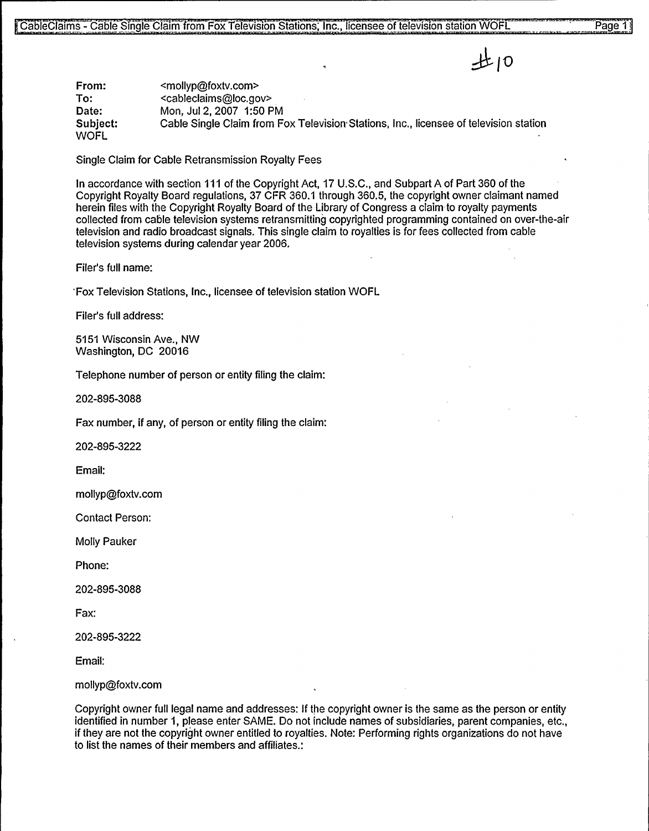$H10$ 

From: To: Date: Subject: **WOFL** <mollyp@foxtv.com> <cableclaims@loc.gov> Mon, Jul 2, 2007 1:50 PM Cable Single Claim from Fox Television Stations, Inc., licensee of television station

Single Claim for Cable Retransmission Royalty Fees

In accordance with section 111 of the Copyright Act, 17 U.S.C., and Subpart A of Part 360 of the Copyright Royalty Board regulations, 37 CFR 360.1 through 360.5, the copyright owner claimant named herein files with the Copyright Royalty Board of the Library of Congress a claim to royalty payments collected from cable television systems retransmitting copyrighted programming contained on over-the-air television and radio broadcast signals. This single claim to royalties is for fees collected from cable television systems during calendar year 2006.

Filer's full name:

'Fox Television Stations, Inc., licensee of television station WOFL

Filer's full address:

5151 Wisconsin Ave., NW Washington, DC 20016

Telephone number of person or entity filing the claim:

202-895-3088

Fax number, if any, of person or entity filing the claim'.

202-895-3222

Email:

mollyp@foxtv.com

Contact Person:

Molly Pauker

Phone:

202-895-3088

Fax:

202-895-3222

Email:

mollyp@foxtv.com

Copyright owner full legal name and addresses: If the copyright owner is the same as the person or entity identified in number 1, please enter SAME. Do not include names of subsidiaries, parent companies, etc., if they are not the copyright owner entitled to royalties. Note: Performing rights organizations do not have to list the names of their members and affiliates.".